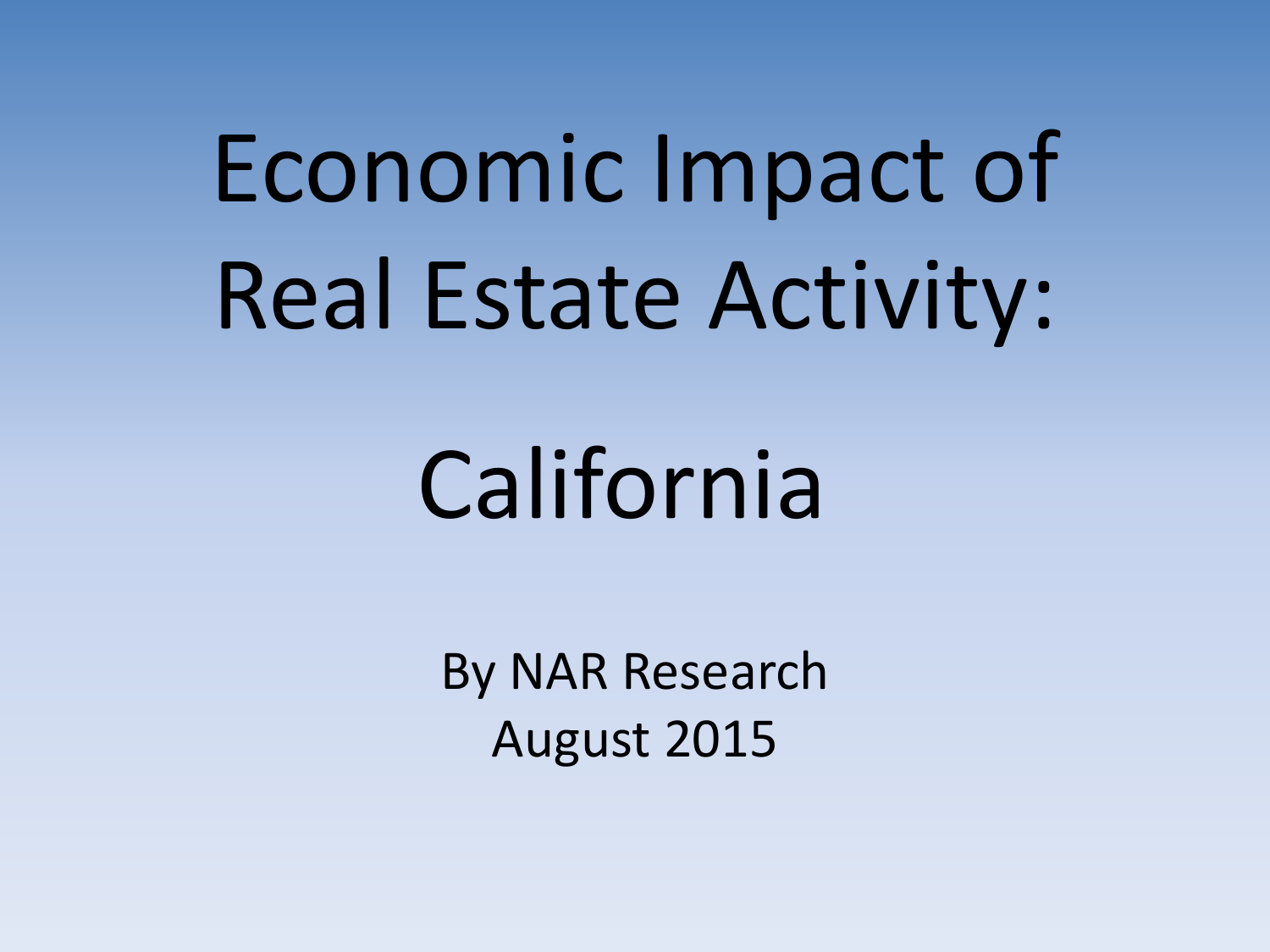Economic Impact of Real Estate Activity:

# California

By NAR Research August 2015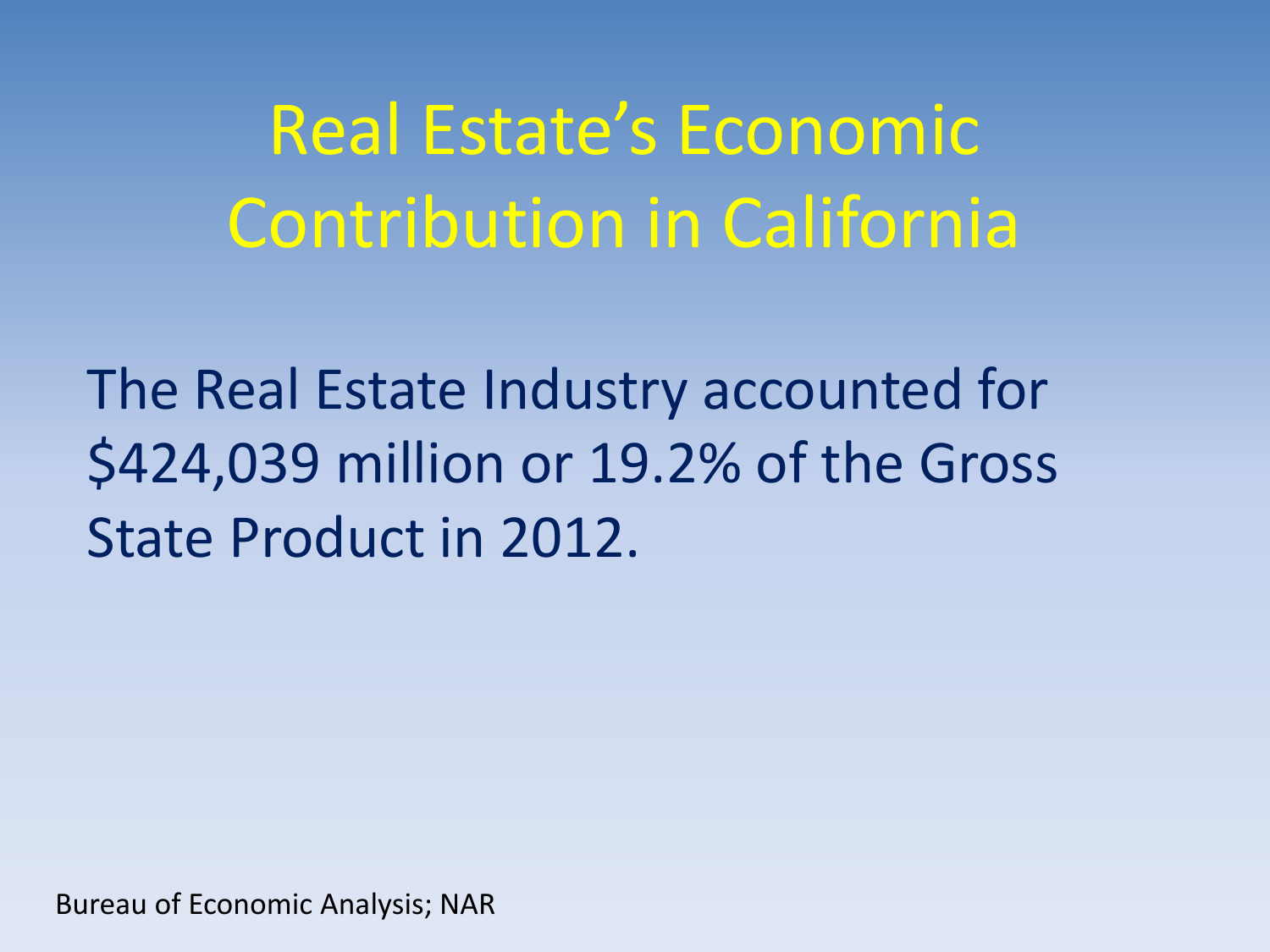## Real Estate's Economic Contribution in California

The Real Estate Industry accounted for \$424,039 million or 19.2% of the Gross State Product in 2012.

Bureau of Economic Analysis; NAR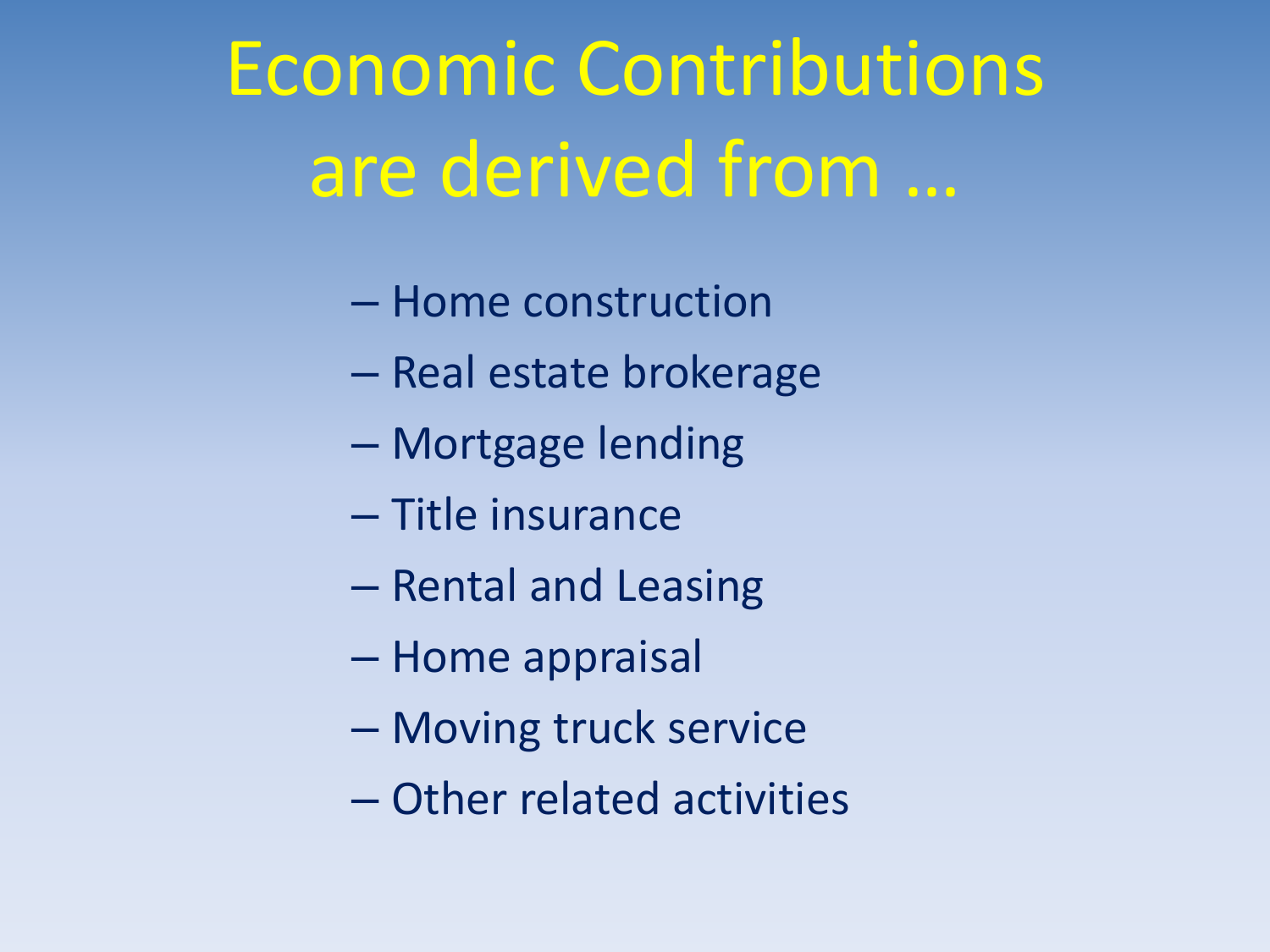# Economic Contributions are derived from …

- Home construction
- Real estate brokerage
- Mortgage lending
- Title insurance
- Rental and Leasing
- Home appraisal
- Moving truck service
- Other related activities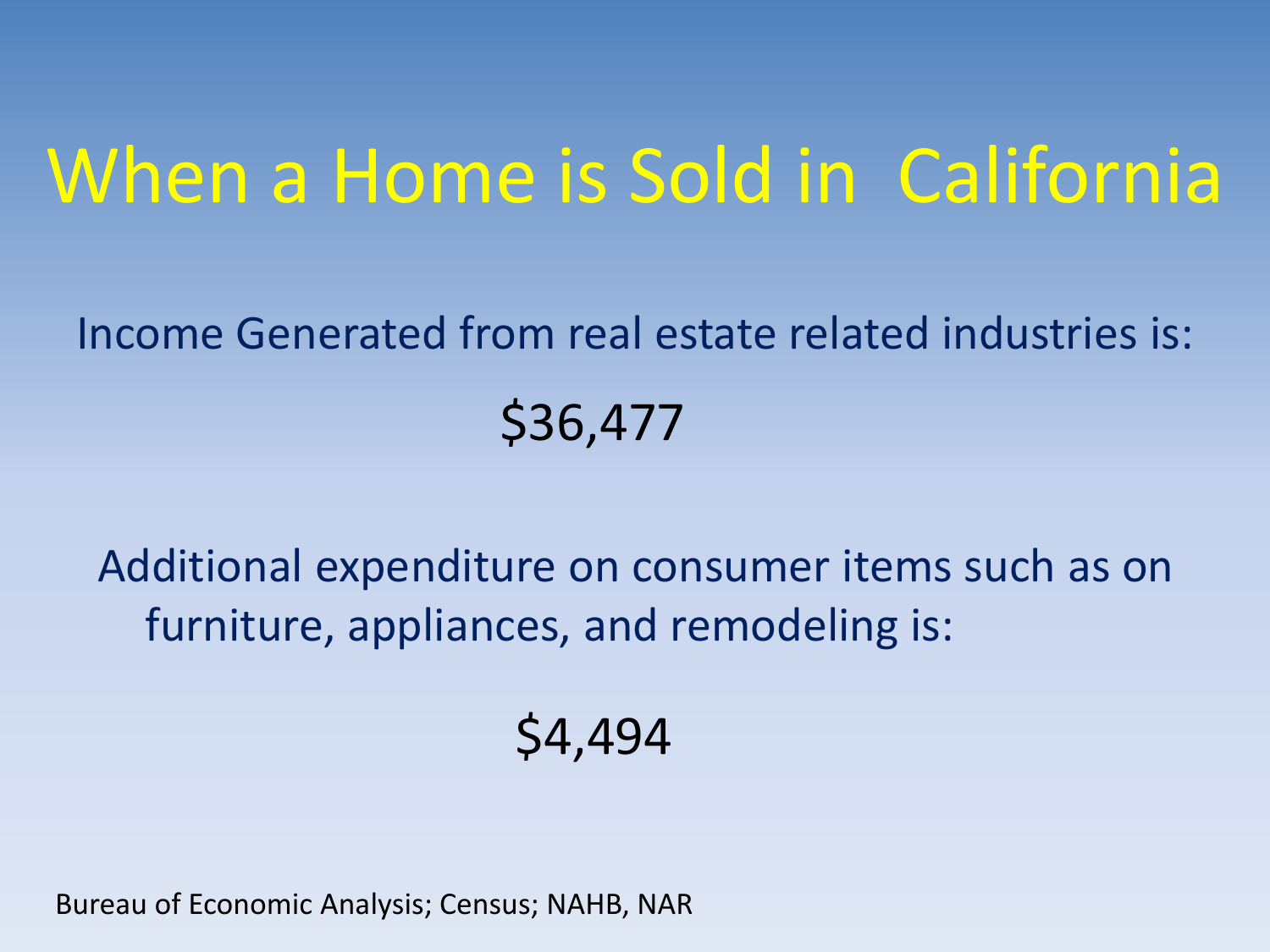## When a Home is Sold in California

### Income Generated from real estate related industries is: \$36,477

Additional expenditure on consumer items such as on furniture, appliances, and remodeling is:

### \$4,494

Bureau of Economic Analysis; Census; NAHB, NAR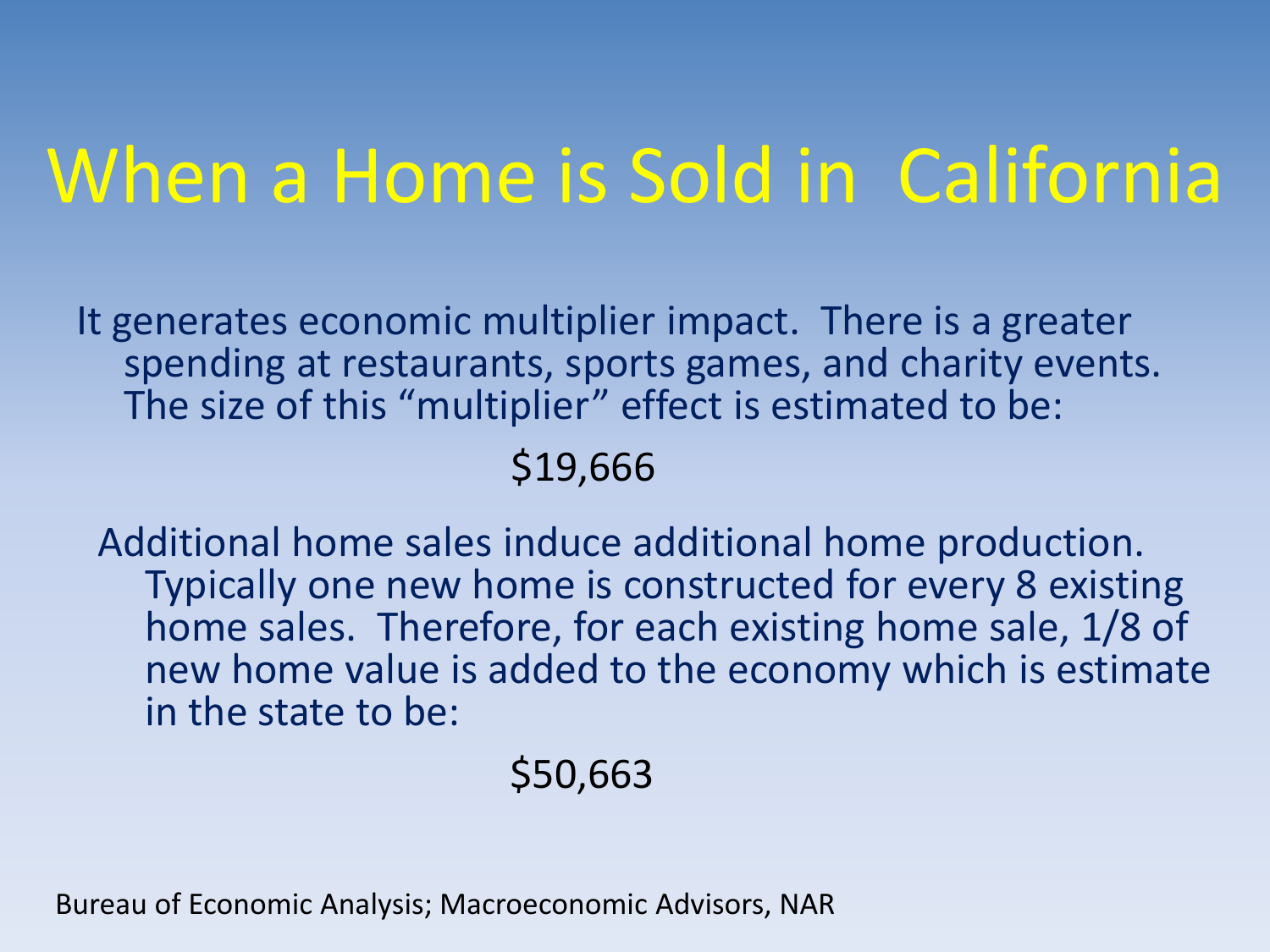# When a Home is Sold in California

It generates economic multiplier impact. There is a greater spending at restaurants, sports games, and charity events. The size of this "multiplier" effect is estimated to be:

#### \$19,666

Additional home sales induce additional home production. Typically one new home is constructed for every 8 existing home sales. Therefore, for each existing home sale, 1/8 of new home value is added to the economy which is estimate in the state to be:

### \$50,663

Bureau of Economic Analysis; Macroeconomic Advisors, NAR